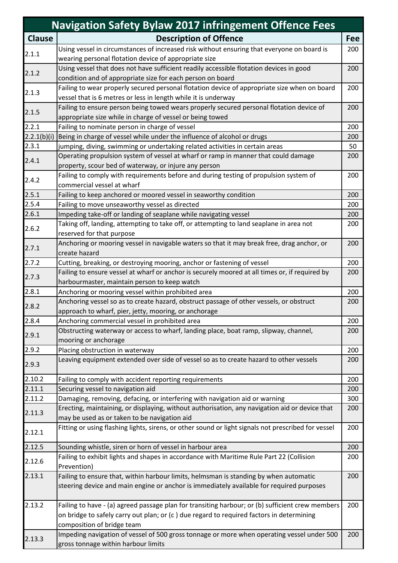|               | <b>Navigation Safety Bylaw 2017 infringement Offence Fees</b>                                                                                  |            |
|---------------|------------------------------------------------------------------------------------------------------------------------------------------------|------------|
| <b>Clause</b> | <b>Description of Offence</b>                                                                                                                  | <b>Fee</b> |
|               | Using vessel in circumstances of increased risk without ensuring that everyone on board is                                                     | 200        |
| 2.1.1         | wearing personal flotation device of appropriate size                                                                                          |            |
| 2.1.2         | Using vessel that does not have sufficient readily accessible flotation devices in good                                                        | 200        |
|               | condition and of appropriate size for each person on board                                                                                     |            |
| 2.1.3         | Failing to wear properly secured personal flotation device of appropriate size when on board                                                   | 200        |
|               | vessel that is 6 metres or less in length while it is underway                                                                                 |            |
| 2.1.5         | Failing to ensure person being towed wears properly secured personal flotation device of                                                       | 200        |
|               | appropriate size while in charge of vessel or being towed                                                                                      |            |
| 2.2.1         | Failing to nominate person in charge of vessel                                                                                                 | 200        |
| 2.2.1(b)(i)   | Being in charge of vessel while under the influence of alcohol or drugs                                                                        | 200        |
| 2.3.1         | jumping, diving, swimming or undertaking related activities in certain areas                                                                   | 50         |
| 2.4.1         | Operating propulsion system of vessel at wharf or ramp in manner that could damage                                                             | 200        |
|               | property, scour bed of waterway, or injure any person                                                                                          |            |
| 2.4.2         | Failing to comply with requirements before and during testing of propulsion system of                                                          | 200        |
|               | commercial vessel at wharf                                                                                                                     |            |
| 2.5.1         | Failing to keep anchored or moored vessel in seaworthy condition                                                                               | 200        |
| 2.5.4         | Failing to move unseaworthy vessel as directed                                                                                                 | 200        |
| 2.6.1         | Impeding take-off or landing of seaplane while navigating vessel                                                                               | 200        |
| 2.6.2         | Taking off, landing, attempting to take off, or attempting to land seaplane in area not                                                        | 200        |
|               | reserved for that purpose                                                                                                                      |            |
| 2.7.1         | Anchoring or mooring vessel in navigable waters so that it may break free, drag anchor, or                                                     | 200        |
|               | create hazard                                                                                                                                  |            |
| 2.7.2         | Cutting, breaking, or destroying mooring, anchor or fastening of vessel                                                                        | 200<br>200 |
| 2.7.3         | Failing to ensure vessel at wharf or anchor is securely moored at all times or, if required by<br>harbourmaster, maintain person to keep watch |            |
| 2.8.1         | Anchoring or mooring vessel within prohibited area                                                                                             | 200        |
|               | Anchoring vessel so as to create hazard, obstruct passage of other vessels, or obstruct                                                        | 200        |
| 2.8.2         | approach to wharf, pier, jetty, mooring, or anchorage                                                                                          |            |
| 2.8.4         | Anchoring commercial vessel in prohibited area                                                                                                 | 200        |
|               | Obstructing waterway or access to wharf, landing place, boat ramp, slipway, channel,                                                           | 200        |
| 2.9.1         | mooring or anchorage                                                                                                                           |            |
| 2.9.2         | Placing obstruction in waterway                                                                                                                | 200        |
|               | Leaving equipment extended over side of vessel so as to create hazard to other vessels                                                         | 200        |
| 2.9.3         |                                                                                                                                                |            |
| 2.10.2        | Failing to comply with accident reporting requirements                                                                                         | 200        |
| 2.11.1        | Securing vessel to navigation aid                                                                                                              | 200        |
| 2.11.2        | Damaging, removing, defacing, or interfering with navigation aid or warning                                                                    | 300        |
|               | Erecting, maintaining, or displaying, without authorisation, any navigation aid or device that                                                 | 200        |
| 2.11.3        | may be used as or taken to be navigation aid                                                                                                   |            |
| 2.12.1        | Fitting or using flashing lights, sirens, or other sound or light signals not prescribed for vessel                                            | 200        |
|               |                                                                                                                                                |            |
| 2.12.5        | Sounding whistle, siren or horn of vessel in harbour area                                                                                      | 200        |
| 2.12.6        | Failing to exhibit lights and shapes in accordance with Maritime Rule Part 22 (Collision                                                       | 200        |
|               | Prevention)                                                                                                                                    |            |
| 2.13.1        | Failing to ensure that, within harbour limits, helmsman is standing by when automatic                                                          | 200        |
|               | steering device and main engine or anchor is immediately available for required purposes                                                       |            |
|               |                                                                                                                                                |            |
| 2.13.2        | Failing to have - (a) agreed passage plan for transiting harbour; or (b) sufficient crew members                                               | 200        |
|               | on bridge to safely carry out plan; or (c ) due regard to required factors in determining                                                      |            |
|               | composition of bridge team                                                                                                                     |            |
| 2.13.3        | Impeding navigation of vessel of 500 gross tonnage or more when operating vessel under 500                                                     | 200        |
|               | gross tonnage within harbour limits                                                                                                            |            |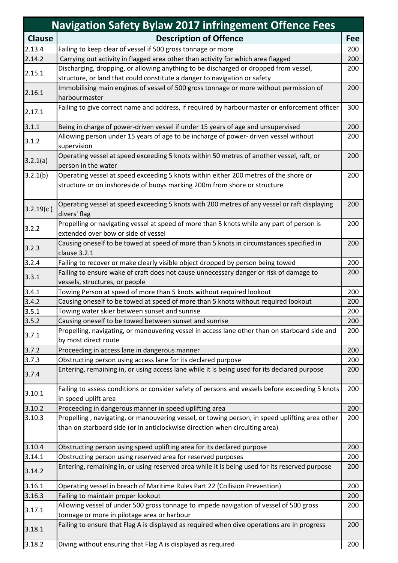|               | <b>Navigation Safety Bylaw 2017 infringement Offence Fees</b>                                   |            |  |
|---------------|-------------------------------------------------------------------------------------------------|------------|--|
| <b>Clause</b> | <b>Description of Offence</b>                                                                   | <b>Fee</b> |  |
| 2.13.4        | Failing to keep clear of vessel if 500 gross tonnage or more                                    | 200        |  |
| 2.14.2        | Carrying out activity in flagged area other than activity for which area flagged                | 200        |  |
|               | Discharging, dropping, or allowing anything to be discharged or dropped from vessel,            | 200        |  |
| 2.15.1        | structure, or land that could constitute a danger to navigation or safety                       |            |  |
| 2.16.1        | Immobilising main engines of vessel of 500 gross tonnage or more without permission of          | 200        |  |
|               | harbourmaster                                                                                   |            |  |
| 2.17.1        | Failing to give correct name and address, if required by harbourmaster or enforcement officer   | 300        |  |
| 3.1.1         | Being in charge of power-driven vessel if under 15 years of age and unsupervised                | 200        |  |
|               | Allowing person under 15 years of age to be incharge of power- driven vessel without            | 200        |  |
| 3.1.2         | supervision                                                                                     |            |  |
|               | Operating vessel at speed exceeding 5 knots within 50 metres of another vessel, raft, or        | 200        |  |
| 3.2.1(a)      | person in the water                                                                             |            |  |
| 3.2.1(b)      | Operating vessel at speed exceeding 5 knots within either 200 metres of the shore or            | 200        |  |
|               | structure or on inshoreside of buoys marking 200m from shore or structure                       |            |  |
|               |                                                                                                 |            |  |
|               | Operating vessel at speed exceeding 5 knots with 200 metres of any vessel or raft displaying    | 200        |  |
| 3.2.19(c)     | divers' flag                                                                                    |            |  |
|               | Propelling or navigating vessel at speed of more than 5 knots while any part of person is       | 200        |  |
| 3.2.2         | extended over bow or side of vessel                                                             |            |  |
|               | Causing oneself to be towed at speed of more than 5 knots in circumstances specified in         | 200        |  |
| 3.2.3         | clause 3.2.1                                                                                    |            |  |
| 3.2.4         | Failing to recover or make clearly visible object dropped by person being towed                 | 200        |  |
|               | Failing to ensure wake of craft does not cause unnecessary danger or risk of damage to          | 200        |  |
| 3.3.1         | vessels, structures, or people                                                                  |            |  |
| 3.4.1         | Towing Person at speed of more than 5 knots without required lookout                            | 200        |  |
| 3.4.2         | Causing oneself to be towed at speed of more than 5 knots without required lookout              | 200        |  |
| 3.5.1         | Towing water skier between sunset and sunrise                                                   | 200        |  |
| 3.5.2         | Causing oneself to be towed between sunset and sunrise                                          | 200        |  |
| 3.7.1         | Propelling, navigating, or manouvering vessel in access lane other than on starboard side and   | 200        |  |
|               | by most direct route                                                                            |            |  |
| 3.7.2         | Proceeding in access lane in dangerous manner                                                   | 200        |  |
| 3.7.3         | Obstructing person using access lane for its declared purpose                                   | 200        |  |
| 3.7.4         | Entering, remaining in, or using access lane while it is being used for its declared purpose    | 200        |  |
|               |                                                                                                 |            |  |
| 3.10.1        | Failing to assess conditions or consider safety of persons and vessels before exceeding 5 knots | 200        |  |
|               | in speed uplift area                                                                            |            |  |
| 3.10.2        | Proceeding in dangerous manner in speed uplifting area                                          | 200        |  |
| 3.10.3        | Propelling, navigating, or manouvering vessel, or towing person, in speed uplifting area other  | 200        |  |
|               | than on starboard side (or in anticlockwise direction when circuiting area)                     |            |  |
|               |                                                                                                 |            |  |
| 3.10.4        | Obstructing person using speed uplifting area for its declared purpose                          | 200        |  |
| 3.14.1        | Obstructing person using reserved area for reserved purposes                                    | 200        |  |
| 3.14.2        | Entering, remaining in, or using reserved area while it is being used for its reserved purpose  | 200        |  |
| 3.16.1        | Operating vessel in breach of Maritime Rules Part 22 (Collision Prevention)                     | 200        |  |
| 3.16.3        | Failing to maintain proper lookout                                                              | 200        |  |
| 3.17.1        | Allowing vessel of under 500 gross tonnage to impede navigation of vessel of 500 gross          | 200        |  |
|               | tonnage or more in pilotage area or harbour                                                     |            |  |
| 3.18.1        | Failing to ensure that Flag A is displayed as required when dive operations are in progress     | 200        |  |
| 3.18.2        | Diving without ensuring that Flag A is displayed as required                                    | 200        |  |